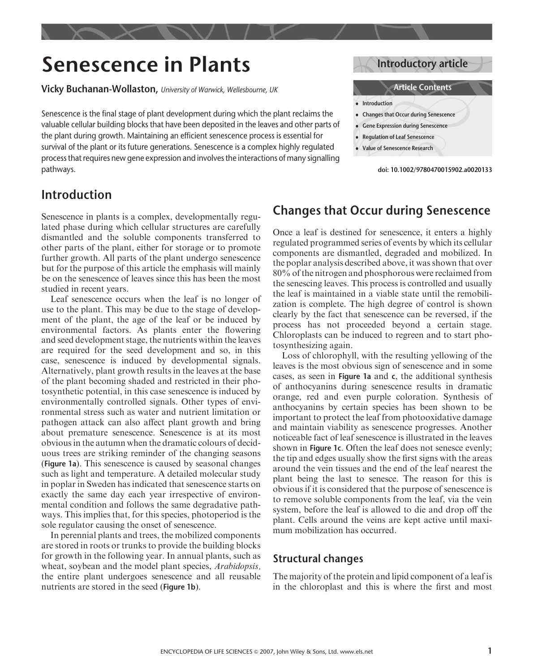# Senescence in Plants

Vicky Buchanan-Wollaston, University of Warwick, Wellesbourne, UK

Senescence is the final stage of plant development during which the plant reclaims the valuable cellular building blocks that have been deposited in the leaves and other parts of the plant during growth. Maintaining an efficient senescence process is essential for survival of the plant or its future generations. Senescence is a complex highly regulated process that requires new gene expression and involves the interactions of many signalling pathways.

# Introduction

Senescence in plants is a complex, developmentally regulated phase during which cellular structures are carefully dismantled and the soluble components transferred to other parts of the plant, either for storage or to promote further growth. All parts of the plant undergo senescence but for the purpose of this article the emphasis will mainly be on the senescence of leaves since this has been the most studied in recent years.

Leaf senescence occurs when the leaf is no longer of use to the plant. This may be due to the stage of development of the plant, the age of the leaf or be induced by environmental factors. As plants enter the flowering and seed development stage, the nutrients within the leaves are required for the seed development and so, in this case, senescence is induced by developmental signals. Alternatively, plant growth results in the leaves at the base of the plant becoming shaded and restricted in their photosynthetic potential, in this case senescence is induced by environmentally controlled signals. Other types of environmental stress such as water and nutrient limitation or pathogen attack can also affect plant growth and bring about premature senescence. Senescence is at its most obvious in the autumn when the dramatic colours of deciduous trees are striking reminder of the changing seasons (Figure 1a). This senescence is caused by seasonal changes such as light and temperature. A detailed molecular study in poplar in Sweden has indicated that senescence starts on exactly the same day each year irrespective of environmental condition and follows the same degradative pathways. This implies that, for this species, photoperiod is the sole regulator causing the onset of senescence.

In perennial plants and trees, the mobilized components are stored in roots or trunks to provide the building blocks for growth in the following year. In annual plants, such as wheat, soybean and the model plant species, Arabidopsis, the entire plant undergoes senescence and all reusable nutrients are stored in the seed (Figure 1b).

# Introductory article

#### Article Contents

- **•** Introduction
- . Changes that Occur during Senescence
- . Gene Expression during Senescence
- . Regulation of Leaf Senescence
- . Value of Senescence Research

doi: 10.1002/9780470015902.a0020133

# Changes that Occur during Senescence

Once a leaf is destined for senescence, it enters a highly regulated programmed series of events by which its cellular components are dismantled, degraded and mobilized. In the poplar analysis described above, it was shown that over 80% of the nitrogen and phosphorous were reclaimed from the senescing leaves. This process is controlled and usually the leaf is maintained in a viable state until the remobilization is complete. The high degree of control is shown clearly by the fact that senescence can be reversed, if the process has not proceeded beyond a certain stage. Chloroplasts can be induced to regreen and to start photosynthesizing again.

Loss of chlorophyll, with the resulting yellowing of the leaves is the most obvious sign of senescence and in some cases, as seen in Figure 1a and c, the additional synthesis of anthocyanins during senescence results in dramatic orange, red and even purple coloration. Synthesis of anthocyanins by certain species has been shown to be important to protect the leaf from photooxidative damage and maintain viability as senescence progresses. Another noticeable fact of leaf senescence is illustrated in the leaves shown in Figure 1c. Often the leaf does not senesce evenly; the tip and edges usually show the first signs with the areas around the vein tissues and the end of the leaf nearest the plant being the last to senesce. The reason for this is obvious if it is considered that the purpose of senescence is to remove soluble components from the leaf, via the vein system, before the leaf is allowed to die and drop off the plant. Cells around the veins are kept active until maximum mobilization has occurred.

#### Structural changes

The majority of the protein and lipid component of a leaf is in the chloroplast and this is where the first and most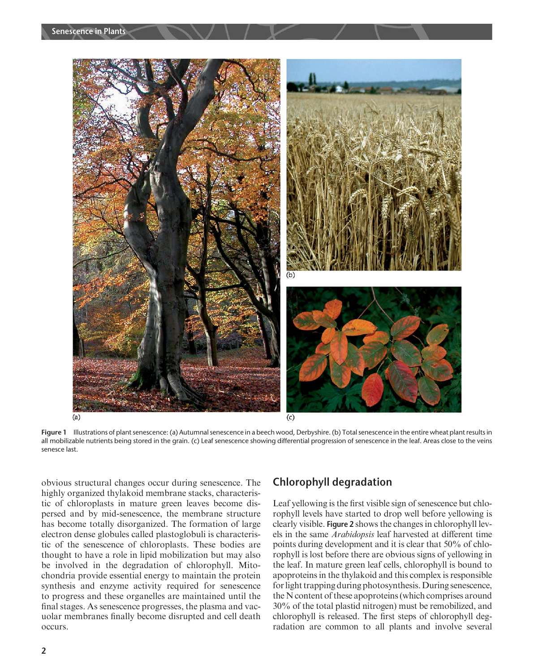

Figure 1 Illustrations of plant senescence: (a) Autumnal senescence in a beech wood, Derbyshire. (b) Total senescence in the entire wheat plant results in all mobilizable nutrients being stored in the grain. (c) Leaf senescence showing differential progression of senescence in the leaf. Areas close to the veins senesce last.

obvious structural changes occur during senescence. The highly organized thylakoid membrane stacks, characteristic of chloroplasts in mature green leaves become dispersed and by mid-senescence, the membrane structure has become totally disorganized. The formation of large electron dense globules called plastoglobuli is characteristic of the senescence of chloroplasts. These bodies are thought to have a role in lipid mobilization but may also be involved in the degradation of chlorophyll. Mitochondria provide essential energy to maintain the protein synthesis and enzyme activity required for senescence to progress and these organelles are maintained until the final stages. As senescence progresses, the plasma and vacuolar membranes finally become disrupted and cell death occurs.

#### Chlorophyll degradation

Leaf yellowing is the first visible sign of senescence but chlorophyll levels have started to drop well before yellowing is clearly visible. Figure 2 shows the changes in chlorophyll levels in the same Arabidopsis leaf harvested at different time points during development and it is clear that 50% of chlorophyll is lost before there are obvious signs of yellowing in the leaf. In mature green leaf cells, chlorophyll is bound to apoproteins in the thylakoid and this complex is responsible for light trapping during photosynthesis.During senescence, the N content of these apoproteins (which comprises around 30% of the total plastid nitrogen) must be remobilized, and chlorophyll is released. The first steps of chlorophyll degradation are common to all plants and involve several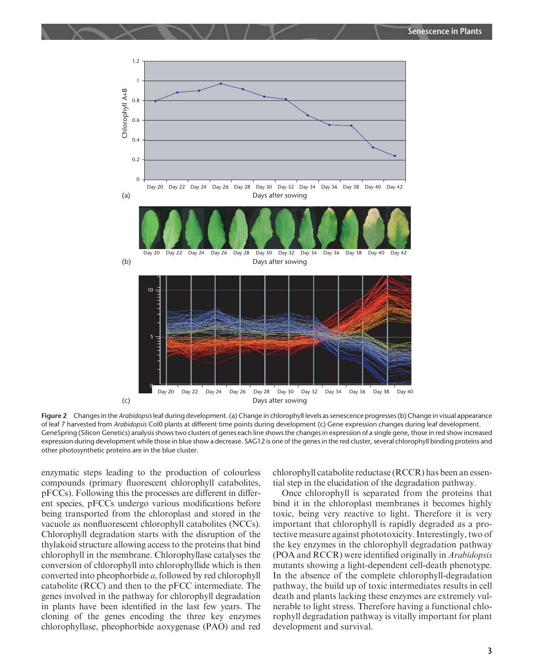![](_page_2_Figure_1.jpeg)

Figure 2 Changes in the Arabidopsis leaf during development. (a) Change in chlorophyll levels as senescence progresses (b) Change in visual appearance of leaf 7 harvested from Arabidopsis Col0 plants at different time points during development (c) Gene expression changes during leaf development. GeneSpring (Silicon Genetics) analysis shows two clusters of genes each line shows the changes in expression of a single gene, those in red show increased expression during development while those in blue show a decrease. SAG12 is one of the genes in the red cluster, several chlorophyll binding proteins and other photosynthetic proteins are in the blue cluster.

enzymatic steps leading to the production of colourless compounds (primary fluorescent chlorophyll catabolites, pFCCs). Following this the processes are different in different species, pFCCs undergo various modifications before being transported from the chloroplast and stored in the vacuole as nonfluorescent chlorophyll catabolites (NCCs). Chlorophyll degradation starts with the disruption of the thylakoid structure allowing access to the proteins that bind chlorophyll in the membrane. Chlorophyllase catalyses the conversion of chlorophyll into chlorophyllide which is then converted into pheophorbide a, followed by red chlorophyll catabolite (RCC) and then to the pFCC intermediate. The genes involved in the pathway for chlorophyll degradation in plants have been identified in the last few years. The cloning of the genes encoding the three key enzymes chlorophyllase, pheophorbide aoxygenase (PAO) and red

chlorophyll catabolite reductase (RCCR) has been an essential step in the elucidation of the degradation pathway.

Once chlorophyll is separated from the proteins that bind it in the chloroplast membranes it becomes highly toxic, being very reactive to light. Therefore it is very important that chlorophyll is rapidly degraded as a protective measure against phototoxicity. Interestingly, two of the key enzymes in the chlorophyll degradation pathway (POA and RCCR) were identified originally in Arabidopsis mutants showing a light-dependent cell-death phenotype. In the absence of the complete chlorophyll-degradation pathway, the build up of toxic intermediates results in cell death and plants lacking these enzymes are extremely vulnerable to light stress. Therefore having a functional chlorophyll degradation pathway is vitally important for plant development and survival.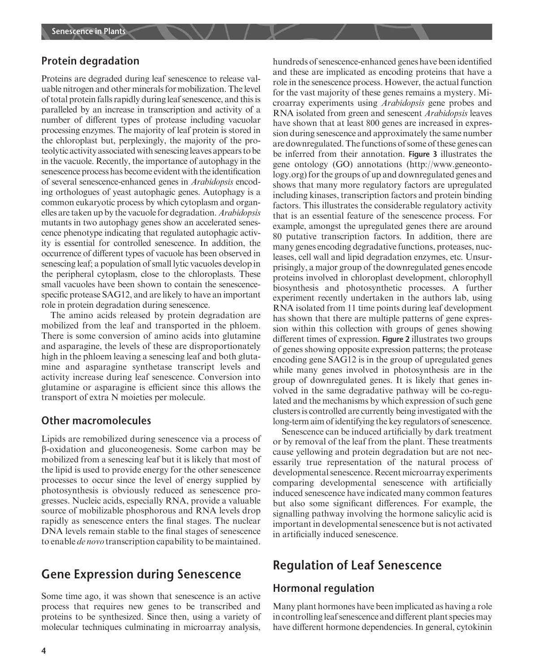### Protein degradation

Proteins are degraded during leaf senescence to release valuable nitrogen and other minerals for mobilization. The level of total protein falls rapidly during leaf senescence, and this is paralleled by an increase in transcription and activity of a number of different types of protease including vacuolar processing enzymes. The majority of leaf protein is stored in the chloroplast but, perplexingly, the majority of the proteolytic activity associated with senescing leaves appears to be in the vacuole. Recently, the importance of autophagy in the senescence process has become evident with the identification of several senescence-enhanced genes in Arabidopsis encoding orthologues of yeast autophagic genes. Autophagy is a common eukaryotic process by which cytoplasm and organelles are taken up by the vacuole for degradation. Arabidopsis mutants in two autophagy genes show an accelerated senescence phenotype indicating that regulated autophagic activity is essential for controlled senescence. In addition, the occurrence of different types of vacuole has been observed in senescing leaf; a population of small lytic vacuoles develop in the peripheral cytoplasm, close to the chloroplasts. These small vacuoles have been shown to contain the senescencespecific protease SAG12, and are likely to have an important role in protein degradation during senescence.

The amino acids released by protein degradation are mobilized from the leaf and transported in the phloem. There is some conversion of amino acids into glutamine and asparagine, the levels of these are disproportionately high in the phloem leaving a senescing leaf and both glutamine and asparagine synthetase transcript levels and activity increase during leaf senescence. Conversion into glutamine or asparagine is efficient since this allows the transport of extra N moieties per molecule.

### Other macromolecules

Lipids are remobilized during senescence via a process of b-oxidation and gluconeogenesis. Some carbon may be mobilized from a senescing leaf but it is likely that most of the lipid is used to provide energy for the other senescence processes to occur since the level of energy supplied by photosynthesis is obviously reduced as senescence progresses. Nucleic acids, especially RNA, provide a valuable source of mobilizable phosphorous and RNA levels drop rapidly as senescence enters the final stages. The nuclear DNA levels remain stable to the final stages of senescence to enable *de novo* transcription capability to be maintained.

# Gene Expression during Senescence

Some time ago, it was shown that senescence is an active process that requires new genes to be transcribed and proteins to be synthesized. Since then, using a variety of molecular techniques culminating in microarray analysis,

hundreds of senescence-enhanced genes have been identified and these are implicated as encoding proteins that have a role in the senescence process. However, the actual function for the vast majority of these genes remains a mystery. Microarray experiments using Arabidopsis gene probes and RNA isolated from green and senescent Arabidopsis leaves have shown that at least 800 genes are increased in expression during senescence and approximately the same number are downregulated. The functions of some of these genes can be inferred from their annotation. Figure 3 illustrates the gene ontology (GO) annotations (http://www.geneontology.org) for the groups of up and downregulated genes and shows that many more regulatory factors are upregulated including kinases, transcription factors and protein binding factors. This illustrates the considerable regulatory activity that is an essential feature of the senescence process. For example, amongst the upregulated genes there are around 80 putative transcription factors. In addition, there are many genes encoding degradative functions, proteases, nucleases, cell wall and lipid degradation enzymes, etc. Unsurprisingly, a major group of the downregulated genes encode proteins involved in chloroplast development, chlorophyll biosynthesis and photosynthetic processes. A further experiment recently undertaken in the authors lab, using RNA isolated from 11 time points during leaf development has shown that there are multiple patterns of gene expression within this collection with groups of genes showing different times of expression. Figure 2 illustrates two groups of genes showing opposite expression patterns; the protease encoding gene SAG12 is in the group of upregulated genes while many genes involved in photosynthesis are in the group of downregulated genes. It is likely that genes involved in the same degradative pathway will be co-regulated and the mechanisms by which expression of such gene clusters is controlled are currently being investigated with the long-term aim of identifying the key regulators of senescence.

Senescence can be induced artificially by dark treatment or by removal of the leaf from the plant. These treatments cause yellowing and protein degradation but are not necessarily true representation of the natural process of developmental senescence. Recent microarray experiments comparing developmental senescence with artificially induced senescence have indicated many common features but also some significant differences. For example, the signalling pathway involving the hormone salicylic acid is important in developmental senescence but is not activated in artificially induced senescence.

# Regulation of Leaf Senescence

#### Hormonal regulation

Many plant hormones have been implicated as having a role in controlling leaf senescence and different plant species may have different hormone dependencies. In general, cytokinin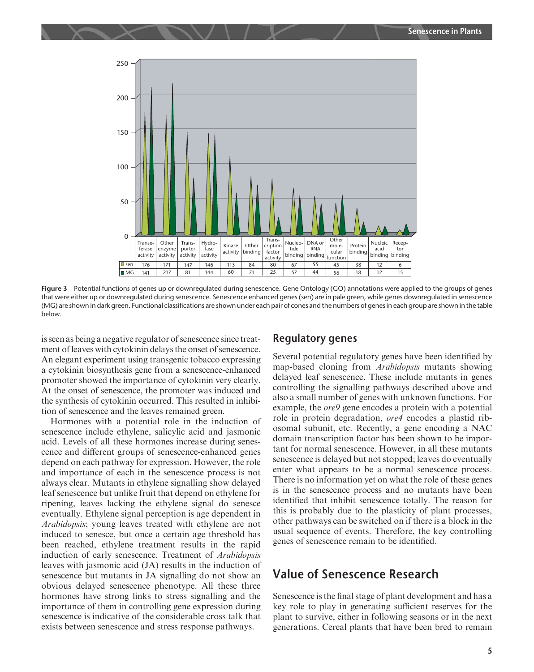![](_page_4_Figure_1.jpeg)

Figure 3 Potential functions of genes up or downregulated during senescence. Gene Ontology (GO) annotations were applied to the groups of genes that were either up or downregulated during senescence. Senescence enhanced genes (sen) are in pale green, while genes downregulated in senescence (MG) are shown in dark green. Functional classifications are shown under each pair of cones and the numbers of genes in each group are shown in the table below.

is seen as being a negative regulator of senescence since treatment of leaves with cytokinin delays the onset of senescence. An elegant experiment using transgenic tobacco expressing a cytokinin biosynthesis gene from a senescence-enhanced promoter showed the importance of cytokinin very clearly. At the onset of senescence, the promoter was induced and the synthesis of cytokinin occurred. This resulted in inhibition of senescence and the leaves remained green.

Hormones with a potential role in the induction of senescence include ethylene, salicylic acid and jasmonic acid. Levels of all these hormones increase during senescence and different groups of senescence-enhanced genes depend on each pathway for expression. However, the role and importance of each in the senescence process is not always clear. Mutants in ethylene signalling show delayed leaf senescence but unlike fruit that depend on ethylene for ripening, leaves lacking the ethylene signal do senesce eventually. Ethylene signal perception is age dependent in Arabidopsis; young leaves treated with ethylene are not induced to senesce, but once a certain age threshold has been reached, ethylene treatment results in the rapid induction of early senescence. Treatment of Arabidopsis leaves with jasmonic acid (JA) results in the induction of senescence but mutants in JA signalling do not show an obvious delayed senescence phenotype. All these three hormones have strong links to stress signalling and the importance of them in controlling gene expression during senescence is indicative of the considerable cross talk that exists between senescence and stress response pathways.

#### Regulatory genes

Several potential regulatory genes have been identified by map-based cloning from Arabidopsis mutants showing delayed leaf senescence. These include mutants in genes controlling the signalling pathways described above and also a small number of genes with unknown functions. For example, the ore9 gene encodes a protein with a potential role in protein degradation, ore4 encodes a plastid ribosomal subunit, etc. Recently, a gene encoding a NAC domain transcription factor has been shown to be important for normal senescence. However, in all these mutants senescence is delayed but not stopped; leaves do eventually enter what appears to be a normal senescence process. There is no information yet on what the role of these genes is in the senescence process and no mutants have been identified that inhibit senescence totally. The reason for this is probably due to the plasticity of plant processes, other pathways can be switched on if there is a block in the usual sequence of events. Therefore, the key controlling genes of senescence remain to be identified.

# Value of Senescence Research

Senescence is the final stage of plant development and has a key role to play in generating sufficient reserves for the plant to survive, either in following seasons or in the next generations. Cereal plants that have been bred to remain